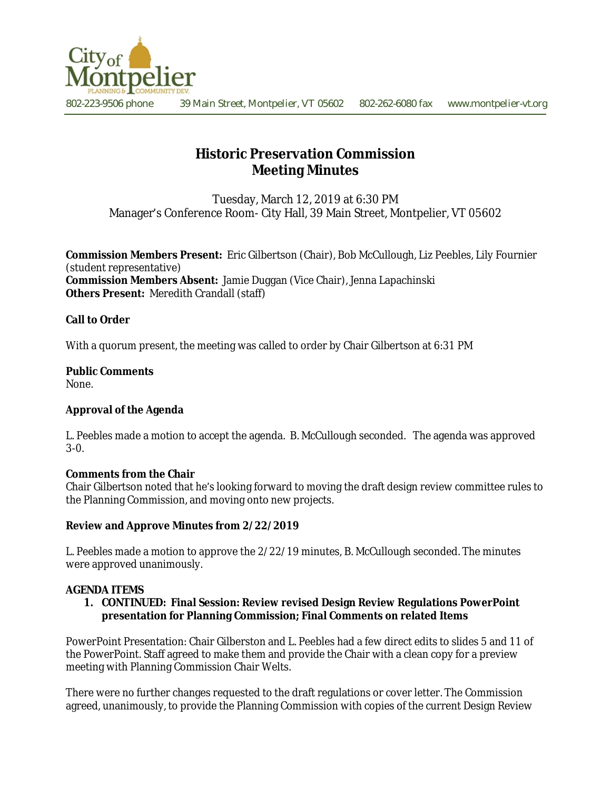

# **Historic Preservation Commission Meeting Minutes**

Tuesday, March 12, 2019 at 6:30 PM Manager's Conference Room- City Hall, 39 Main Street, Montpelier, VT 05602

**Commission Members Present:** Eric Gilbertson (Chair), Bob McCullough, Liz Peebles, Lily Fournier (student representative) **Commission Members Absent:** Jamie Duggan (Vice Chair), Jenna Lapachinski **Others Present:** Meredith Crandall (staff)

# **Call to Order**

With a quorum present, the meeting was called to order by Chair Gilbertson at 6:31 PM

# **Public Comments**

None.

## **Approval of the Agenda**

L. Peebles made a motion to accept the agenda. B. McCullough seconded. The agenda was approved 3-0.

#### **Comments from the Chair**

Chair Gilbertson noted that he's looking forward to moving the draft design review committee rules to the Planning Commission, and moving onto new projects.

## **Review and Approve Minutes from 2/22/2019**

L. Peebles made a motion to approve the 2/22/19 minutes, B. McCullough seconded. The minutes were approved unanimously.

#### **AGENDA ITEMS**

#### **1. CONTINUED: Final Session: Review revised Design Review Regulations PowerPoint presentation for Planning Commission; Final Comments on related Items**

PowerPoint Presentation: Chair Gilberston and L. Peebles had a few direct edits to slides 5 and 11 of the PowerPoint. Staff agreed to make them and provide the Chair with a clean copy for a preview meeting with Planning Commission Chair Welts.

There were no further changes requested to the draft regulations or cover letter. The Commission agreed, unanimously, to provide the Planning Commission with copies of the current Design Review